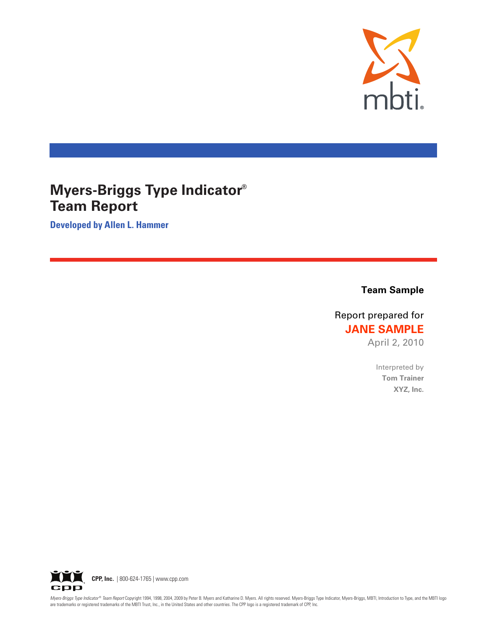

# **Myers-Briggs Type Indicator® Team Report**

**Developed by Allen L. Hammer** 

**Team Sample** 

Report prepared for **JANE SAMPLE** 

April 2, 2010

Interpreted by **Tom Trainer** XYZ, Inc.



Myers-Briggs Type Indicator® Team Report Copyright 1994, 1998, 2004, 2009 by Peter B. Myers and Katharine D. Myers. All rights reserved. Myers-Briggs Type Indicator, Myers-Briggs, MBTI, Introduction to Type, and the MBTI l are trademarks or registered trademarks of the MBTI Trust, Inc., in the United States and other countries. The CPP logo is a registered trademark of CPP, Inc.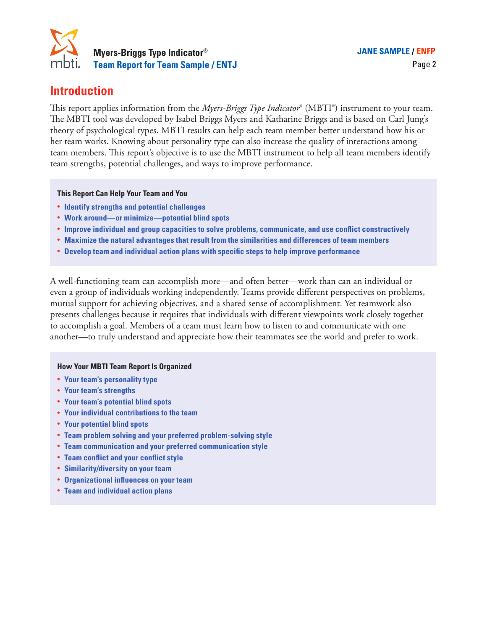

# **Introduction**

This report applies information from the *Myers-Briggs Type Indicator*® (MBTI®) instrument to your team. The MBTI tool was developed by Isabel Briggs Myers and Katharine Briggs and is based on Carl Jung's theory of psychological types. MBTI results can help each team member better understand how his or her team works. Knowing about personality type can also increase the quality of interactions among team members. This report's objective is to use the MBTI instrument to help all team members identify team strengths, potential challenges, and ways to improve performance.

**This Report Can Help Your Team and You**

- **• Identify strengths and potential challenges**
- **• Work around—or minimize—potential blind spots**
- **• Improve individual and group capacities to solve problems, communicate, and use conflict constructively**
- **• Maximize the natural advantages that result from the similarities and differences of team members**
- **• Develop team and individual action plans with specific steps to help improve performance**

A well-functioning team can accomplish more—and often better—work than can an individual or even a group of individuals working independently. Teams provide different perspectives on problems, mutual support for achieving objectives, and a shared sense of accomplishment. Yet teamwork also presents challenges because it requires that individuals with different viewpoints work closely together to accomplish a goal. Members of a team must learn how to listen to and communicate with one another—to truly understand and appreciate how their teammates see the world and prefer to work.

### **How Your MBTI Team Report Is Organized**

- **• Your team's personality type**
- **• Your team's strengths**
- **• Your team's potential blind spots**
- **• Your individual contributions to the team**
- **• Your potential blind spots**
- **• Team problem solving and your preferred problem-solving style**
- **• Team communication and your preferred communication style**
- **• Team conflict and your conflict style**
- **• Similarity/diversity on your team**
- **• Organizational influences on your team**
- **• Team and individual action plans**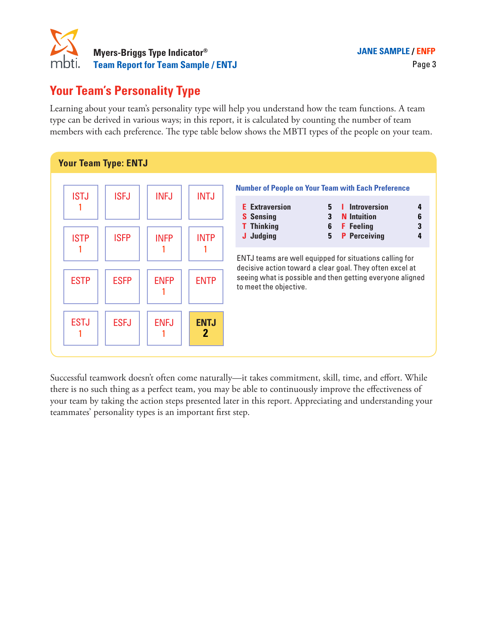

# **Your Team's Personality Type**

Learning about your team's personality type will help you understand how the team functions. A team type can be derived in various ways; in this report, it is calculated by counting the number of team members with each preference. The type table below shows the MBTI types of the people on your team.



Successful teamwork doesn't often come naturally—it takes commitment, skill, time, and effort. While there is no such thing as a perfect team, you may be able to continuously improve the effectiveness of your team by taking the action steps presented later in this report. Appreciating and understanding your teammates' personality types is an important first step.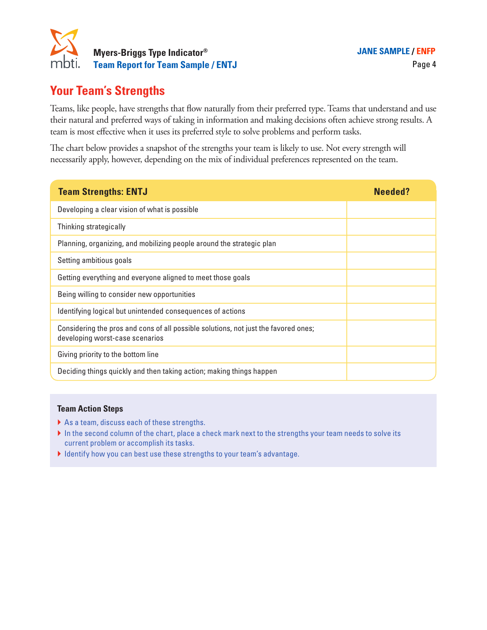

# **Your Team's Strengths**

Teams, like people, have strengths that flow naturally from their preferred type. Teams that understand and use their natural and preferred ways of taking in information and making decisions often achieve strong results. A team is most effective when it uses its preferred style to solve problems and perform tasks.

The chart below provides a snapshot of the strengths your team is likely to use. Not every strength will necessarily apply, however, depending on the mix of individual preferences represented on the team.

| <b>Team Strengths: ENTJ</b>                                                                                            | Needed? |
|------------------------------------------------------------------------------------------------------------------------|---------|
| Developing a clear vision of what is possible                                                                          |         |
| Thinking strategically                                                                                                 |         |
| Planning, organizing, and mobilizing people around the strategic plan                                                  |         |
| Setting ambitious goals                                                                                                |         |
| Getting everything and everyone aligned to meet those goals                                                            |         |
| Being willing to consider new opportunities                                                                            |         |
| Identifying logical but unintended consequences of actions                                                             |         |
| Considering the pros and cons of all possible solutions, not just the favored ones;<br>developing worst-case scenarios |         |
| Giving priority to the bottom line                                                                                     |         |
| Deciding things quickly and then taking action; making things happen                                                   |         |

### **Team Action Steps**

- } As a team, discuss each of these strengths.
- In the second column of the chart, place a check mark next to the strengths your team needs to solve its current problem or accomplish its tasks.
- } Identify how you can best use these strengths to your team's advantage.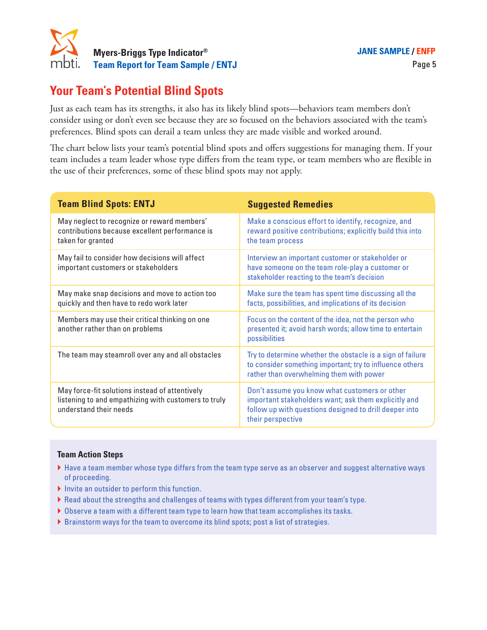

# **Your Team's Potential Blind Spots**

Just as each team has its strengths, it also has its likely blind spots—behaviors team members don't consider using or don't even see because they are so focused on the behaviors associated with the team's preferences. Blind spots can derail a team unless they are made visible and worked around.

The chart below lists your team's potential blind spots and offers suggestions for managing them. If your team includes a team leader whose type differs from the team type, or team members who are flexible in the use of their preferences, some of these blind spots may not apply.

| <b>Team Blind Spots: ENTJ</b>                                                                                                    | <b>Suggested Remedies</b>                                                                                                                                                            |
|----------------------------------------------------------------------------------------------------------------------------------|--------------------------------------------------------------------------------------------------------------------------------------------------------------------------------------|
| May neglect to recognize or reward members'<br>contributions because excellent performance is<br>taken for granted               | Make a conscious effort to identify, recognize, and<br>reward positive contributions; explicitly build this into<br>the team process                                                 |
| May fail to consider how decisions will affect<br>important customers or stakeholders                                            | Interview an important customer or stakeholder or<br>have someone on the team role-play a customer or<br>stakeholder reacting to the team's decision                                 |
| May make snap decisions and move to action too<br>quickly and then have to redo work later                                       | Make sure the team has spent time discussing all the<br>facts, possibilities, and implications of its decision                                                                       |
| Members may use their critical thinking on one<br>another rather than on problems                                                | Focus on the content of the idea, not the person who<br>presented it; avoid harsh words; allow time to entertain<br>possibilities                                                    |
| The team may steamroll over any and all obstacles                                                                                | Try to determine whether the obstacle is a sign of failure<br>to consider something important; try to influence others<br>rather than overwhelming them with power                   |
| May force-fit solutions instead of attentively<br>listening to and empathizing with customers to truly<br>understand their needs | Don't assume you know what customers or other<br>important stakeholders want; ask them explicitly and<br>follow up with questions designed to drill deeper into<br>their perspective |
| <b>Team Action Steps</b>                                                                                                         |                                                                                                                                                                                      |

- } Have a team member whose type differs from the team type serve as an observer and suggest alternative ways of proceeding.
- } Invite an outsider to perform this function.
- } Read about the strengths and challenges of teams with types different from your team's type.
- } Observe a team with a different team type to learn how that team accomplishes its tasks.
- } Brainstorm ways for the team to overcome its blind spots; post a list of strategies.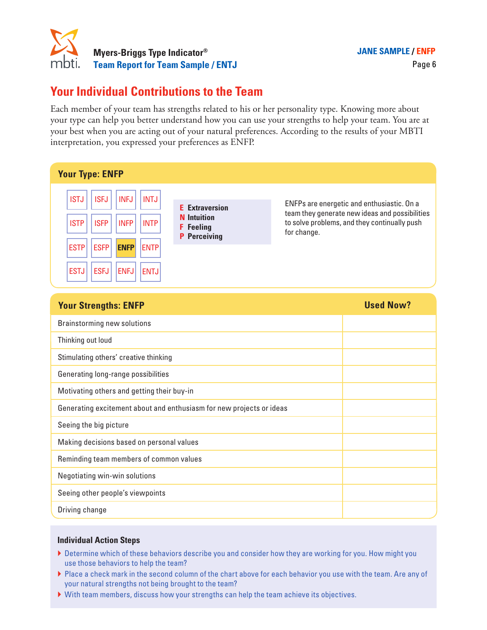

# **Your Individual Contributions to the Team**

Each member of your team has strengths related to his or her personality type. Knowing more about your type can help you better understand how you can use your strengths to help your team. You are at your best when you are acting out of your natural preferences. According to the results of your MBTI interpretation, you expressed your preferences as ENFP.

| <b>Your Type: ENFP</b>                                                                                                                                                                                                                 |                                                                                        |                                                                                                                                                             |
|----------------------------------------------------------------------------------------------------------------------------------------------------------------------------------------------------------------------------------------|----------------------------------------------------------------------------------------|-------------------------------------------------------------------------------------------------------------------------------------------------------------|
| <b>ISTJ</b><br><b>ISFJ</b><br><b>INFJ</b><br>INTJ<br><b>INFP</b><br><b>INTP</b><br><b>ISTP</b><br><b>ISFP</b><br><b>ESTP</b><br><b>ESFP</b><br><b>ENFP</b><br><b>ENTPI</b><br><b>ESFJ</b><br><b>ENFJ</b><br><b>ESTJ</b><br><b>ENTJ</b> | <b>E</b> Extraversion<br><b>N</b> Intuition<br><b>F</b> Feeling<br><b>P</b> Perceiving | ENFPs are energetic and enthusiastic. On a<br>team they generate new ideas and possibilities<br>to solve problems, and they continually push<br>for change. |

| <b>Your Strengths: ENFP</b>                                          | <b>Used Now?</b> |
|----------------------------------------------------------------------|------------------|
| Brainstorming new solutions                                          |                  |
| Thinking out loud                                                    |                  |
| Stimulating others' creative thinking                                |                  |
| Generating long-range possibilities                                  |                  |
| Motivating others and getting their buy-in                           |                  |
| Generating excitement about and enthusiasm for new projects or ideas |                  |
| Seeing the big picture                                               |                  |
| Making decisions based on personal values                            |                  |
| Reminding team members of common values                              |                  |
| Negotiating win-win solutions                                        |                  |
| Seeing other people's viewpoints                                     |                  |
| Driving change                                                       |                  |

- } Determine which of these behaviors describe you and consider how they are working for you. How might you use those behaviors to help the team?
- } Place a check mark in the second column of the chart above for each behavior you use with the team. Are any of your natural strengths not being brought to the team?
- } With team members, discuss how your strengths can help the team achieve its objectives.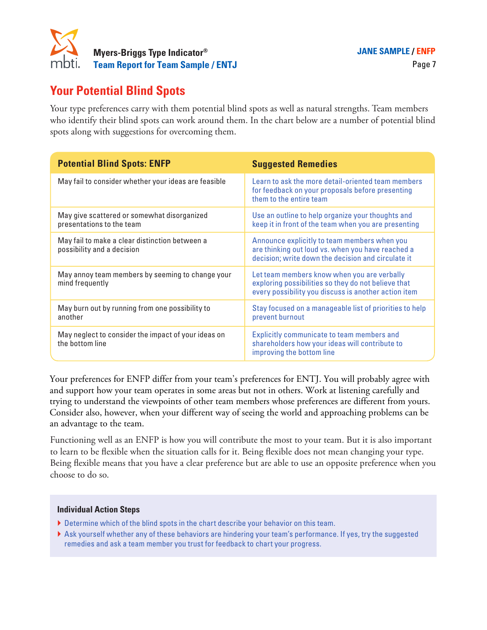

# **Your Potential Blind Spots**

Your type preferences carry with them potential blind spots as well as natural strengths. Team members who identify their blind spots can work around them. In the chart below are a number of potential blind spots along with suggestions for overcoming them.

| <b>Potential Blind Spots: ENFP</b>                                           | <b>Suggested Remedies</b>                                                                                                                                  |
|------------------------------------------------------------------------------|------------------------------------------------------------------------------------------------------------------------------------------------------------|
| May fail to consider whether your ideas are feasible                         | Learn to ask the more detail-oriented team members<br>for feedback on your proposals before presenting<br>them to the entire team                          |
| May give scattered or somewhat disorganized<br>presentations to the team     | Use an outline to help organize your thoughts and<br>keep it in front of the team when you are presenting                                                  |
| May fail to make a clear distinction between a<br>possibility and a decision | Announce explicitly to team members when you<br>are thinking out loud vs. when you have reached a<br>decision; write down the decision and circulate it    |
| May annoy team members by seeming to change your<br>mind frequently          | Let team members know when you are verbally<br>exploring possibilities so they do not believe that<br>every possibility you discuss is another action item |
| May burn out by running from one possibility to<br>another                   | Stay focused on a manageable list of priorities to help<br>prevent burnout                                                                                 |
| May neglect to consider the impact of your ideas on<br>the bottom line       | Explicitly communicate to team members and<br>shareholders how your ideas will contribute to<br>improving the bottom line                                  |

Your preferences for ENFP differ from your team's preferences for ENTJ. You will probably agree with and support how your team operates in some areas but not in others. Work at listening carefully and trying to understand the viewpoints of other team members whose preferences are different from yours. Consider also, however, when your different way of seeing the world and approaching problems can be an advantage to the team.

Functioning well as an ENFP is how you will contribute the most to your team. But it is also important to learn to be flexible when the situation calls for it. Being flexible does not mean changing your type. Being flexible means that you have a clear preference but are able to use an opposite preference when you choose to do so.

- } Determine which of the blind spots in the chart describe your behavior on this team.
- } Ask yourself whether any of these behaviors are hindering your team's performance. If yes, try the suggested remedies and ask a team member you trust for feedback to chart your progress.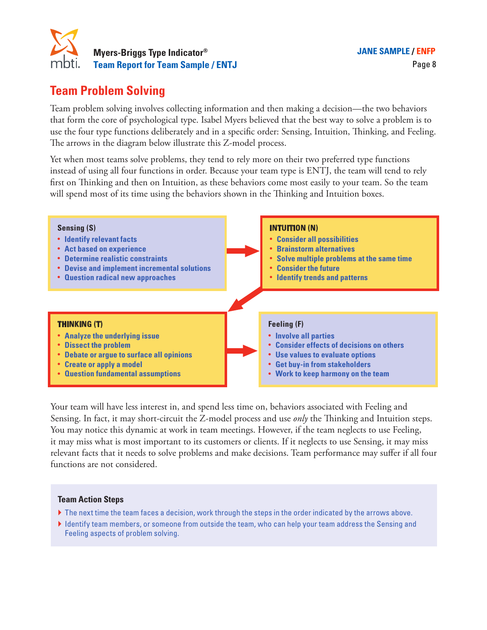

# **Team Problem Solving**

Team problem solving involves collecting information and then making a decision—the two behaviors that form the core of psychological type. Isabel Myers believed that the best way to solve a problem is to use the four type functions deliberately and in a specific order: Sensing, Intuition, Thinking, and Feeling. The arrows in the diagram below illustrate this Z-model process.

Yet when most teams solve problems, they tend to rely more on their two preferred type functions instead of using all four functions in order. Because your team type is ENTJ, the team will tend to rely first on Thinking and then on Intuition, as these behaviors come most easily to your team. So the team will spend most of its time using the behaviors shown in the Thinking and Intuition boxes.

| <b>Sensing (S)</b><br>• Identify relevant facts<br>• Act based on experience<br><b>Determine realistic constraints</b><br>• Devise and implement incremental solutions<br>• Question radical new approaches             |  | <b>INTUITION (N)</b><br><b>Consider all possibilities</b><br>$\bullet$<br><b>Brainstorm alternatives</b><br>Solve multiple problems at the same time<br>$\bullet$<br><b>Consider the future</b><br><b>Identify trends and patterns</b><br>$\bullet$ |  |
|-------------------------------------------------------------------------------------------------------------------------------------------------------------------------------------------------------------------------|--|-----------------------------------------------------------------------------------------------------------------------------------------------------------------------------------------------------------------------------------------------------|--|
| <b>THINKING (T)</b><br><b>Analyze the underlying issue</b><br><b>Dissect the problem</b><br><b>Debate or argue to surface all opinions</b><br><b>Create or apply a model</b><br><b>Question fundamental assumptions</b> |  | Feeling (F)<br>• Involve all parties<br>• Consider effects of decisions on others<br>• Use values to evaluate options<br>• Get buy-in from stakeholders<br>• Work to keep harmony on the team                                                       |  |

Your team will have less interest in, and spend less time on, behaviors associated with Feeling and Sensing. In fact, it may short-circuit the Z-model process and use *only* the Thinking and Intuition steps. You may notice this dynamic at work in team meetings. However, if the team neglects to use Feeling, it may miss what is most important to its customers or clients. If it neglects to use Sensing, it may miss relevant facts that it needs to solve problems and make decisions. Team performance may suffer if all four functions are not considered.

### **Team Action Steps**

- $\blacktriangleright$  The next time the team faces a decision, work through the steps in the order indicated by the arrows above.
- } Identify team members, or someone from outside the team, who can help your team address the Sensing and Feeling aspects of problem solving.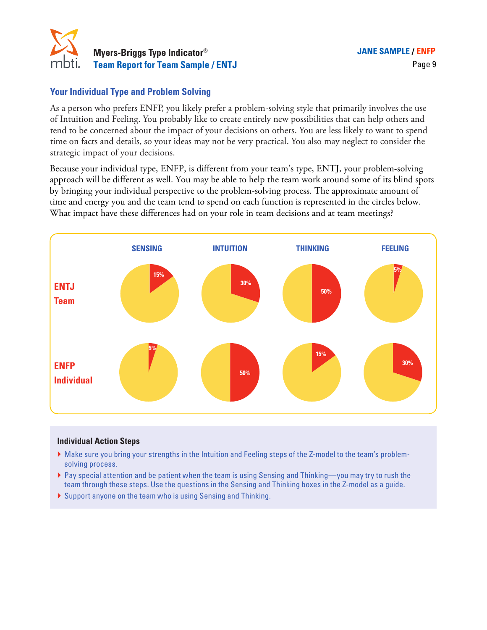

### **Your Individual Type and Problem Solving**

As a person who prefers ENFP, you likely prefer a problem-solving style that primarily involves the use of Intuition and Feeling. You probably like to create entirely new possibilities that can help others and tend to be concerned about the impact of your decisions on others. You are less likely to want to spend time on facts and details, so your ideas may not be very practical. You also may neglect to consider the strategic impact of your decisions.

Because your individual type, ENFP, is different from your team's type, ENTJ, your problem-solving approach will be different as well. You may be able to help the team work around some of its blind spots by bringing your individual perspective to the problem-solving process. The approximate amount of time and energy you and the team tend to spend on each function is represented in the circles below. What impact have these differences had on your role in team decisions and at team meetings?



- } Make sure you bring your strengths in the Intuition and Feeling steps of the Z-model to the team's problemsolving process.
- } Pay special attention and be patient when the team is using Sensing and Thinking—you may try to rush the team through these steps. Use the questions in the Sensing and Thinking boxes in the Z-model as a guide.
- } Support anyone on the team who is using Sensing and Thinking.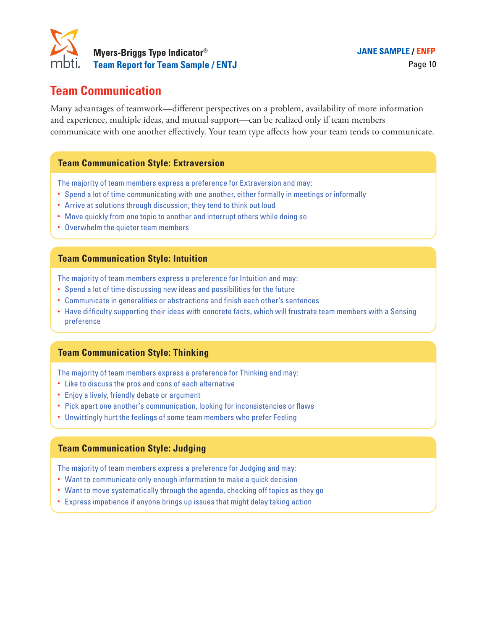

# **Team Communication**

Many advantages of teamwork—different perspectives on a problem, availability of more information and experience, multiple ideas, and mutual support—can be realized only if team members communicate with one another effectively. Your team type affects how your team tends to communicate.

### **Team Communication Style: Extraversion**

The majority of team members express a preference for Extraversion and may:

- Spend a lot of time communicating with one another, either formally in meetings or informally
- Arrive at solutions through discussion; they tend to think out loud
- Move quickly from one topic to another and interrupt others while doing so
- Overwhelm the quieter team members

### **Team Communication Style: Intuition**

The majority of team members express a preference for Intuition and may:

- Spend a lot of time discussing new ideas and possibilities for the future
- Communicate in generalities or abstractions and finish each other's sentences
- Have difficulty supporting their ideas with concrete facts, which will frustrate team members with a Sensing preference

### **Team Communication Style: Thinking**

The majority of team members express a preference for Thinking and may:

- Like to discuss the pros and cons of each alternative
- Enjoy a lively, friendly debate or argument
- Pick apart one another's communication, looking for inconsistencies or flaws
- Unwittingly hurt the feelings of some team members who prefer Feeling

### **Team Communication Style: Judging**

The majority of team members express a preference for Judging and may:

- Want to communicate only enough information to make a quick decision
- Want to move systematically through the agenda, checking off topics as they go
- Express impatience if anyone brings up issues that might delay taking action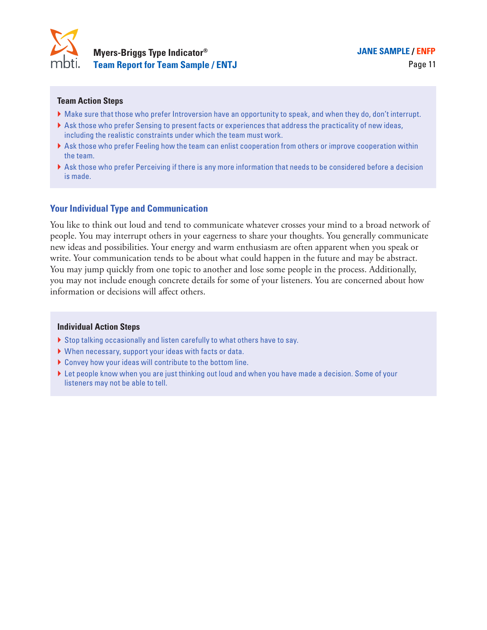

**® JANE SAMPLE / ENFP**

### **Team Action Steps**

- } Make sure that those who prefer Introversion have an opportunity to speak, and when they do, don't interrupt.
- } Ask those who prefer Sensing to present facts or experiences that address the practicality of new ideas, including the realistic constraints under which the team must work.
- } Ask those who prefer Feeling how the team can enlist cooperation from others or improve cooperation within the team.
- } Ask those who prefer Perceiving if there is any more information that needs to be considered before a decision is made.

### **Your Individual Type and Communication**

You like to think out loud and tend to communicate whatever crosses your mind to a broad network of people. You may interrupt others in your eagerness to share your thoughts. You generally communicate new ideas and possibilities. Your energy and warm enthusiasm are often apparent when you speak or write. Your communication tends to be about what could happen in the future and may be abstract. You may jump quickly from one topic to another and lose some people in the process. Additionally, you may not include enough concrete details for some of your listeners. You are concerned about how information or decisions will affect others.

- } Stop talking occasionally and listen carefully to what others have to say.
- } When necessary, support your ideas with facts or data.
- } Convey how your ideas will contribute to the bottom line.
- } Let people know when you are just thinking out loud and when you have made a decision. Some of your listeners may not be able to tell.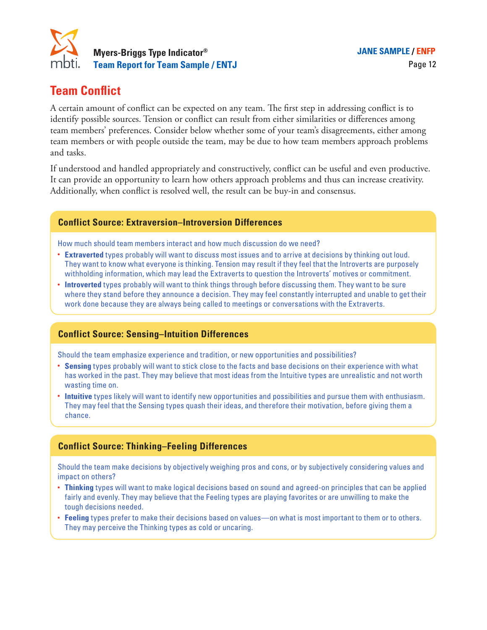

# **Team Conflict**

A certain amount of conflict can be expected on any team. The first step in addressing conflict is to identify possible sources. Tension or conflict can result from either similarities or differences among team members' preferences. Consider below whether some of your team's disagreements, either among team members or with people outside the team, may be due to how team members approach problems and tasks.

If understood and handled appropriately and constructively, conflict can be useful and even productive. It can provide an opportunity to learn how others approach problems and thus can increase creativity. Additionally, when conflict is resolved well, the result can be buy-in and consensus.

### **Conflict Source: Extraversion–Introversion Differences**

How much should team members interact and how much discussion do we need?

- **Extraverted** types probably will want to discuss most issues and to arrive at decisions by thinking out loud. They want to know what everyone is thinking. Tension may result if they feel that the Introverts are purposely withholding information, which may lead the Extraverts to question the Introverts' motives or commitment.
- **Introverted** types probably will want to think things through before discussing them. They want to be sure where they stand before they announce a decision. They may feel constantly interrupted and unable to get their work done because they are always being called to meetings or conversations with the Extraverts.

### **Conflict Source: Sensing–Intuition Differences**

Should the team emphasize experience and tradition, or new opportunities and possibilities?

- **Sensing** types probably will want to stick close to the facts and base decisions on their experience with what has worked in the past. They may believe that most ideas from the Intuitive types are unrealistic and not worth wasting time on.
- **Intuitive** types likely will want to identify new opportunities and possibilities and pursue them with enthusiasm. They may feel that the Sensing types quash their ideas, and therefore their motivation, before giving them a chance.

### **Conflict Source: Thinking–Feeling Differences**

Should the team make decisions by objectively weighing pros and cons, or by subjectively considering values and impact on others?

- **Thinking** types will want to make logical decisions based on sound and agreed-on principles that can be applied fairly and evenly. They may believe that the Feeling types are playing favorites or are unwilling to make the tough decisions needed.
- **Feeling** types prefer to make their decisions based on values—on what is most important to them or to others. They may perceive the Thinking types as cold or uncaring.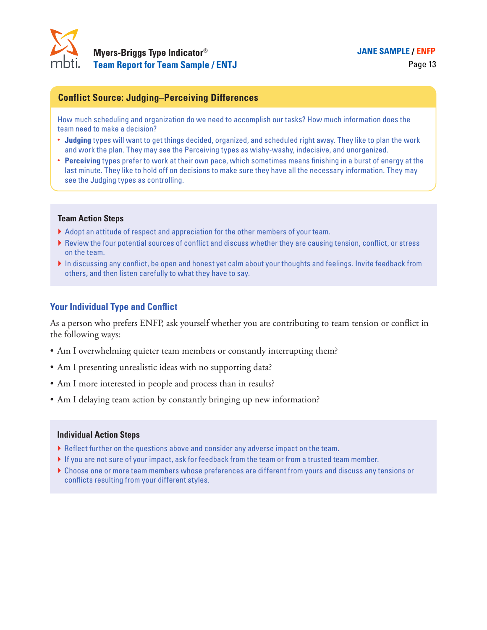

### **® JANE SAMPLE / ENFP**

### **Conflict Source: Judging–Perceiving Differences**

How much scheduling and organization do we need to accomplish our tasks? How much information does the team need to make a decision?

- **Judging** types will want to get things decided, organized, and scheduled right away. They like to plan the work and work the plan. They may see the Perceiving types as wishy-washy, indecisive, and unorganized.
- **Perceiving** types prefer to work at their own pace, which sometimes means finishing in a burst of energy at the last minute. They like to hold off on decisions to make sure they have all the necessary information. They may see the Judging types as controlling.

#### **Team Action Steps**

- } Adopt an attitude of respect and appreciation for the other members of your team.
- } Review the four potential sources of conflict and discuss whether they are causing tension, conflict, or stress on the team.
- In discussing any conflict, be open and honest yet calm about your thoughts and feelings. Invite feedback from others, and then listen carefully to what they have to say.

### **Your Individual Type and Conflict**

As a person who prefers ENFP, ask yourself whether you are contributing to team tension or conflict in the following ways:

- Am I overwhelming quieter team members or constantly interrupting them?
- Am I presenting unrealistic ideas with no supporting data?
- Am I more interested in people and process than in results?
- Am I delaying team action by constantly bringing up new information?

- } Reflect further on the questions above and consider any adverse impact on the team.
- } If you are not sure of your impact, ask for feedback from the team or from a trusted team member.
- } Choose one or more team members whose preferences are different from yours and discuss any tensions or conflicts resulting from your different styles.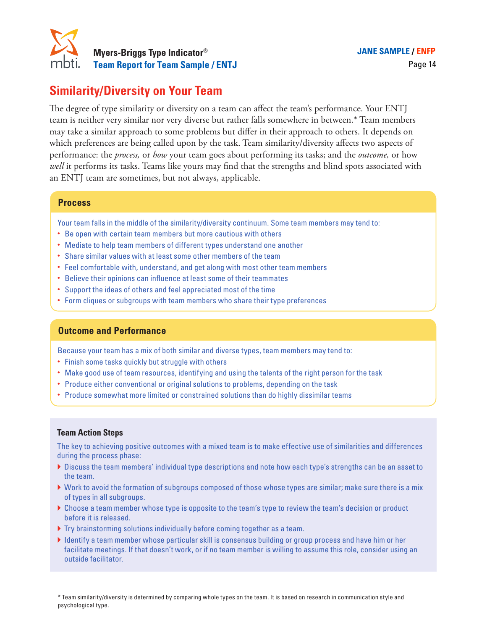

# **Similarity/Diversity on Your Team**

The degree of type similarity or diversity on a team can affect the team's performance. Your ENTJ team is neither very similar nor very diverse but rather falls somewhere in between.\* Team members may take a similar approach to some problems but differ in their approach to others. It depends on which preferences are being called upon by the task. Team similarity/diversity affects two aspects of performance: the *process,* or *how* your team goes about performing its tasks; and the *outcome,* or how well it performs its tasks. Teams like yours may find that the strengths and blind spots associated with an ENTJ team are sometimes, but not always, applicable.

### **Process**

Your team falls in the middle of the similarity/diversity continuum. Some team members may tend to:

- Be open with certain team members but more cautious with others
- Mediate to help team members of different types understand one another
- Share similar values with at least some other members of the team
- Feel comfortable with, understand, and get along with most other team members
- Believe their opinions can influence at least some of their teammates
- Support the ideas of others and feel appreciated most of the time
- Form cliques or subgroups with team members who share their type preferences

### **Outcome and Performance**

Because your team has a mix of both similar and diverse types, team members may tend to:

- Finish some tasks quickly but struggle with others
- Make good use of team resources, identifying and using the talents of the right person for the task
- Produce either conventional or original solutions to problems, depending on the task
- Produce somewhat more limited or constrained solutions than do highly dissimilar teams

### **Team Action Steps**

The key to achieving positive outcomes with a mixed team is to make effective use of similarities and differences during the process phase:

- } Discuss the team members' individual type descriptions and note how each type's strengths can be an asset to the team.
- } Work to avoid the formation of subgroups composed of those whose types are similar; make sure there is a mix of types in all subgroups.
- } Choose a team member whose type is opposite to the team's type to review the team's decision or product before it is released.
- } Try brainstorming solutions individually before coming together as a team.
- } Identify a team member whose particular skill is consensus building or group process and have him or her facilitate meetings. If that doesn't work, or if no team member is willing to assume this role, consider using an outside facilitator.

\* Team similarity/diversity is determined by comparing whole types on the team. It is based on research in communication style and psychological type.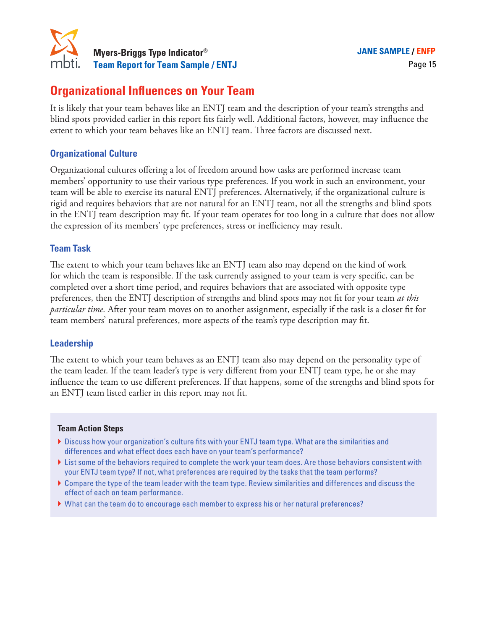

# **Organizational Influences on Your Team**

It is likely that your team behaves like an ENTJ team and the description of your team's strengths and blind spots provided earlier in this report fits fairly well. Additional factors, however, may influence the extent to which your team behaves like an ENTJ team. Three factors are discussed next.

### **Organizational Culture**

Organizational cultures offering a lot of freedom around how tasks are performed increase team members' opportunity to use their various type preferences. If you work in such an environment, your team will be able to exercise its natural ENTJ preferences. Alternatively, if the organizational culture is rigid and requires behaviors that are not natural for an ENTJ team, not all the strengths and blind spots in the ENTJ team description may fit. If your team operates for too long in a culture that does not allow the expression of its members' type preferences, stress or inefficiency may result.

### **Team Task**

The extent to which your team behaves like an ENTJ team also may depend on the kind of work for which the team is responsible. If the task currently assigned to your team is very specific, can be completed over a short time period, and requires behaviors that are associated with opposite type preferences, then the ENTJ description of strengths and blind spots may not fit for your team *at this particular time.* After your team moves on to another assignment, especially if the task is a closer fit for team members' natural preferences, more aspects of the team's type description may fit.

### **Leadership**

The extent to which your team behaves as an ENTJ team also may depend on the personality type of the team leader. If the team leader's type is very different from your ENTJ team type, he or she may influence the team to use different preferences. If that happens, some of the strengths and blind spots for an ENTJ team listed earlier in this report may not fit.

### **Team Action Steps**

- } Discuss how your organization's culture fits with your ENTJ team type. What are the similarities and differences and what effect does each have on your team's performance?
- Itst some of the behaviors required to complete the work your team does. Are those behaviors consistent with your ENTJ team type? If not, what preferences are required by the tasks that the team performs?
- } Compare the type of the team leader with the team type. Review similarities and differences and discuss the effect of each on team performance.
- } What can the team do to encourage each member to express his or her natural preferences?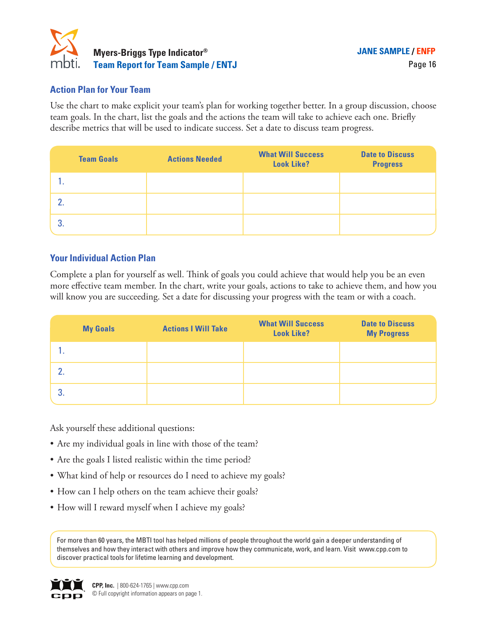

### **Action Plan for Your Team**

Use the chart to make explicit your team's plan for working together better. In a group discussion, choose team goals. In the chart, list the goals and the actions the team will take to achieve each one. Briefly describe metrics that will be used to indicate success. Set a date to discuss team progress.

| <b>Team Goals</b> | <b>Actions Needed</b> | <b>What Will Success</b><br><b>Look Like?</b> | <b>Date to Discuss</b><br><b>Progress</b> |
|-------------------|-----------------------|-----------------------------------------------|-------------------------------------------|
|                   |                       |                                               |                                           |
|                   |                       |                                               |                                           |
|                   |                       |                                               |                                           |

### **Your Individual Action Plan**

Complete a plan for yourself as well. Think of goals you could achieve that would help you be an even more effective team member. In the chart, write your goals, actions to take to achieve them, and how you will know you are succeeding. Set a date for discussing your progress with the team or with a coach.

|    | <b>My Goals</b> | <b>Actions I Will Take</b> | <b>What Will Success</b><br><b>Look Like?</b> | <b>Date to Discuss</b><br><b>My Progress</b> |
|----|-----------------|----------------------------|-----------------------------------------------|----------------------------------------------|
|    |                 |                            |                                               |                                              |
|    |                 |                            |                                               |                                              |
| 3. |                 |                            |                                               |                                              |

Ask yourself these additional questions:

- Are my individual goals in line with those of the team?
- • Are the goals I listed realistic within the time period?
- What kind of help or resources do I need to achieve my goals?
- How can I help others on the team achieve their goals?
- How will I reward myself when I achieve my goals?

For more than 60 years, the MBTI tool has helped millions of people throughout the world gain a deeper understanding of themselves and how they interact with others and improve how they communicate, work, and learn. Visit www.cpp.com to discover practical tools for lifetime learning and development.

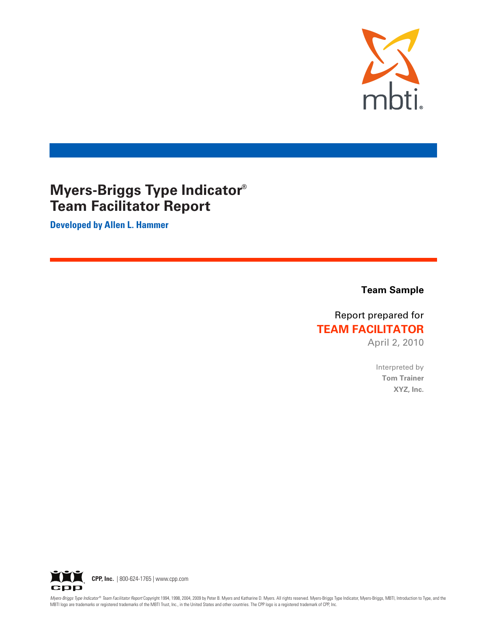

# **Myers-Briggs Type Indicator® Team Facilitator Report**

**Developed by Allen L. Hammer** 

**Team Sample** 

# Report prepared for **TEAM FACILITATOR**

April 2, 2010

Interpreted by **Tom Trainer** XYZ, Inc.



Myers-Briggs Type Indicator® Team Facilitator Report Copyright 1994, 1998, 2004, 2009 by Peter B. Myers and Katharine D. Myers. All rights reserved. Myers-Briggs Type Indicator, Myers-Briggs, MBTI, Introduction to Type, an MBTI logo are trademarks or registered trademarks of the MBTI Trust, Inc., in the United States and other countries. The CPP logo is a registered trademark of CPP, Inc.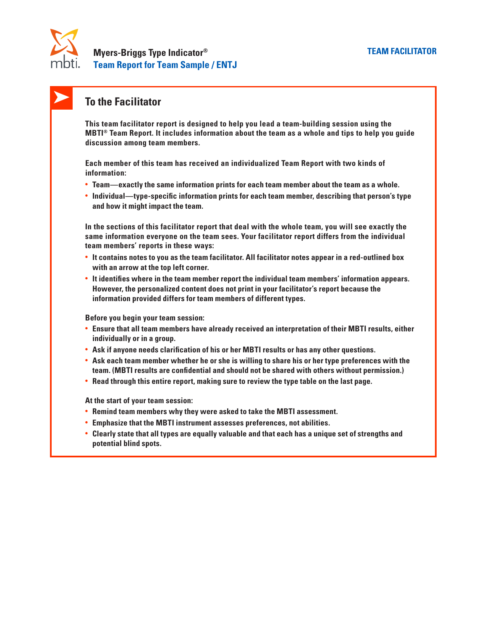

## **To the Facilitator**

**This team facilitator report is designed to help you lead a team-building session using the MBTI® Team Report. It includes information about the team as a whole and tips to help you guide discussion among team members.**

**Each member of this team has received an individualized Team Report with two kinds of information:**

- **• Team—exactly the same information prints for each team member about the team as a whole.**
- **• Individual—type-specific information prints for each team member, describing that person's type and how it might impact the team.**

**In the sections of this facilitator report that deal with the whole team, you will see exactly the same information everyone on the team sees. Your facilitator report differs from the individual team members' reports in these ways:**

- **• It contains notes to you as the team facilitator. All facilitator notes appear in a red-outlined box with an arrow at the top left corner.**
- **• It identifies where in the team member report the individual team members' information appears. However, the personalized content does not print in your facilitator's report because the information provided differs for team members of different types.**

**Before you begin your team session:**

- **• Ensure that all team members have already received an interpretation of their MBTI results, either individually or in a group.**
- **• Ask if anyone needs clarification of his or her MBTI results or has any other questions.**
- **• Ask each team member whether he or she is willing to share his or her type preferences with the team. (MBTI results are confidential and should not be shared with others without permission.)**
- **• Read through this entire report, making sure to review the type table on the last page.**

**At the start of your team session:**

- **• Remind team members why they were asked to take the MBTI assessment.**
- **• Emphasize that the MBTI instrument assesses preferences, not abilities.**
- **• Clearly state that all types are equally valuable and that each has a unique set of strengths and potential blind spots.**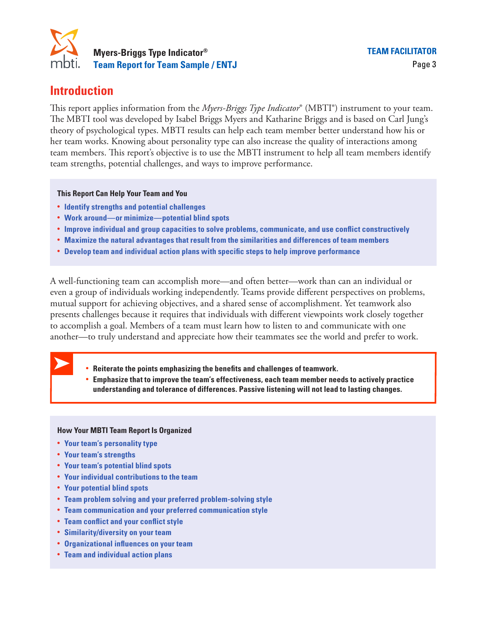

# **Introduction**

This report applies information from the *Myers-Briggs Type Indicator*® (MBTI®) instrument to your team. The MBTI tool was developed by Isabel Briggs Myers and Katharine Briggs and is based on Carl Jung's theory of psychological types. MBTI results can help each team member better understand how his or her team works. Knowing about personality type can also increase the quality of interactions among team members. This report's objective is to use the MBTI instrument to help all team members identify team strengths, potential challenges, and ways to improve performance.

**This Report Can Help Your Team and You**

- **• Identify strengths and potential challenges**
- **• Work around—or minimize—potential blind spots**
- **• Improve individual and group capacities to solve problems, communicate, and use conflict constructively**
- **• Maximize the natural advantages that result from the similarities and differences of team members**
- **• Develop team and individual action plans with specific steps to help improve performance**

A well-functioning team can accomplish more—and often better—work than can an individual or even a group of individuals working independently. Teams provide different perspectives on problems, mutual support for achieving objectives, and a shared sense of accomplishment. Yet teamwork also presents challenges because it requires that individuals with different viewpoints work closely together to accomplish a goal. Members of a team must learn how to listen to and communicate with one another—to truly understand and appreciate how their teammates see the world and prefer to work. **•• applies information from the** *Myers-Briggs Type Indicator®* **(MBTI\*) T tool was developed by Isabel Briggs Myers and Katharine Briggs an psychological types. MBTI results can help each team member better works. Knowing ••** From and individual section prior  $\frac{\log_2 N}{N}$ ,  $\frac{\log_2 N}{N}$ ,  $\frac{\log_2 N}{N}$ ,  $\frac{\log_2 N}{N}$ ,  $\frac{\log_2 N}{N}$  and Katharine Briggs and is based on Carl Junysphological types. MBTI results can help each team member better und

- 
- **understanding and tolerance of differences. Passive listening will not lead to lasting changes.**

### **How Your MBTI Team Report Is Organized**

- **• Your team's personality type**
- **• Your team's strengths**
- **• Your team's potential blind spots**
- **• Your individual contributions to the team**
- **• Your potential blind spots**
- **• Team problem solving and your preferred problem-solving style**
- **• Team communication and your preferred communication style**
- **• Team conflict and your conflict style**
- **• Similarity/diversity on your team**
- **• Organizational influences on your team**
- **• Team and individual action plans**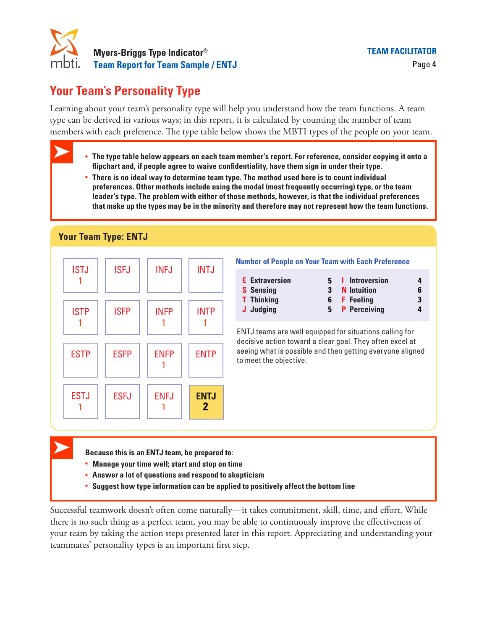

# **Your Team's Personality Type**

Learning about your team's personality type will help you understand how the team functions. A team type can be derived in various ways; in this report, it is calculated by counting the number of team members with each preference. The type table below shows the MBTI types of the people on your team.

- **• The type table below appears on each team member's report. For reference, consider copying it onto a flipchart and, if people agree to waive confidentiality, have them sign in under their type.** ith each preference. The type table below shows the MBTI types of the people on your t<br>**The type table below appears on each team member's report. For reference, consider copying it or<br>flipchart and, if people agree to wai**
- **• There is no ideal way to determine team type. The method used here is to count individual leader's type. The problem with either of those methods, however, is that the individual preferences that make up the types may be in the minority and therefore may not represent how the team functions.**

### **Your Team Type: ENTJ**



- 
- **• Manage your time well; start and stop on time**
- **• Answer a lot of questions and respond to skepticism**
- **• Suggest how type information can be applied to positively affect the bottom line**

Successful teamwork doesn't often come naturally—it takes commitment, skill, time, and effort. While there is no such thing as a perfect team, you may be able to continuously improve the effectiveness of your team by taking the action steps presented later in this report. Appreciating and understanding your teammates' personality types is an important first step.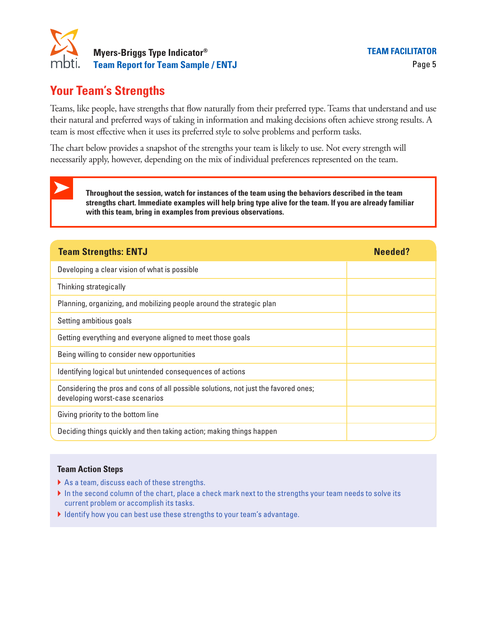

# **Your Team's Strengths**

Teams, like people, have strengths that flow naturally from their preferred type. Teams that understand and use their natural and preferred ways of taking in information and making decisions often achieve strong results. A team is most effective when it uses its preferred style to solve problems and perform tasks.

The chart below provides a snapshot of the strengths your team is likely to use. Not every strength will necessarily apply, however, depending on the mix of individual preferences represented on the team.

**Throughout the session, watch for instances of the team using the behaviors described in the team strengths chart. Immediate examples will help bring type alive for the team. If you are already familiar with this team, bring in examples from previous observations.**

| <b>Team Strengths: ENTJ</b>                                                                                            | Needed? |
|------------------------------------------------------------------------------------------------------------------------|---------|
| Developing a clear vision of what is possible                                                                          |         |
| Thinking strategically                                                                                                 |         |
| Planning, organizing, and mobilizing people around the strategic plan                                                  |         |
| Setting ambitious goals                                                                                                |         |
| Getting everything and everyone aligned to meet those goals                                                            |         |
| Being willing to consider new opportunities                                                                            |         |
| Identifying logical but unintended consequences of actions                                                             |         |
| Considering the pros and cons of all possible solutions, not just the favored ones;<br>developing worst-case scenarios |         |
| Giving priority to the bottom line                                                                                     |         |
| Deciding things quickly and then taking action; making things happen                                                   |         |

### **Team Action Steps**

- ▶ As a team, discuss each of these strengths.
- In the second column of the chart, place a check mark next to the strengths your team needs to solve its current problem or accomplish its tasks.
- } Identify how you can best use these strengths to your team's advantage.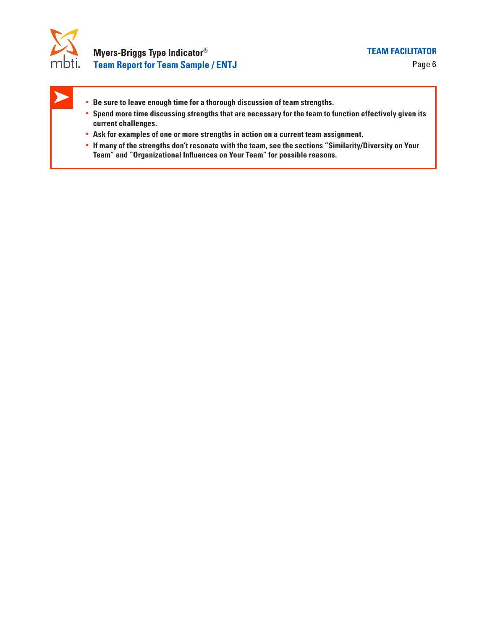

- **• Be sure to leave enough time for a thorough discussion of team strengths.**
- **• Spend more time discussing strengths that are necessary for the team to function effectively given its current challenges.**
- **• Ask for examples of one or more strengths in action on a current team assignment.**
- **• If many of the strengths don't resonate with the team, see the sections "Similarity/Diversity on Your Team" and "Organizational Influences on Your Team" for possible reasons.**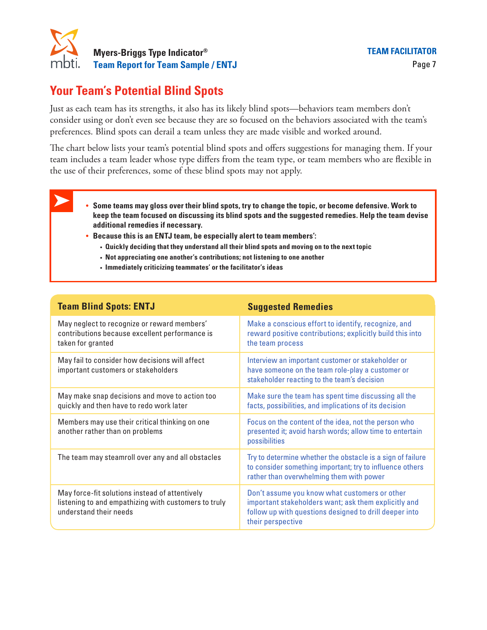

# **Your Team's Potential Blind Spots**

Just as each team has its strengths, it also has its likely blind spots—behaviors team members don't consider using or don't even see because they are so focused on the behaviors associated with the team's preferences. Blind spots can derail a team unless they are made visible and worked around.

The chart below lists your team's potential blind spots and offers suggestions for managing them. If your team includes a team leader whose type differs from the team type, or team members who are flexible in the use of their preferences, some of these blind spots may not apply. •• Because this is an ENTJ team, be especially alert to team members':<br> **••** Because this is an ENTJ team, be the end of the surface of their preferences, some of these blind spots may not apply.<br>
•• **Some teams may gloss** 

- **• Some teams may gloss over their blind spots, try to change the topic, or become defensive. Work to keep the team focused on discussing its blind spots and the suggested remedies. Help the team devise additional remedies if necessary.**
	- - **• Quickly deciding that they understand all their blind spots and moving on to the next topic**
		- **• Not appreciating one another's contributions; not listening to one another**
		- **• Immediately criticizing teammates' or the facilitator's ideas**

| <b>Team Blind Spots: ENTJ</b>                                                                                                    | <b>Suggested Remedies</b>                                                                                                                                                            |
|----------------------------------------------------------------------------------------------------------------------------------|--------------------------------------------------------------------------------------------------------------------------------------------------------------------------------------|
| May neglect to recognize or reward members'<br>contributions because excellent performance is<br>taken for granted               | Make a conscious effort to identify, recognize, and<br>reward positive contributions; explicitly build this into<br>the team process                                                 |
| May fail to consider how decisions will affect<br>important customers or stakeholders                                            | Interview an important customer or stakeholder or<br>have someone on the team role-play a customer or<br>stakeholder reacting to the team's decision                                 |
| May make snap decisions and move to action too<br>quickly and then have to redo work later                                       | Make sure the team has spent time discussing all the<br>facts, possibilities, and implications of its decision                                                                       |
| Members may use their critical thinking on one<br>another rather than on problems                                                | Focus on the content of the idea, not the person who<br>presented it; avoid harsh words; allow time to entertain<br>possibilities                                                    |
| The team may steamroll over any and all obstacles                                                                                | Try to determine whether the obstacle is a sign of failure<br>to consider something important; try to influence others<br>rather than overwhelming them with power                   |
| May force-fit solutions instead of attentively<br>listening to and empathizing with customers to truly<br>understand their needs | Don't assume you know what customers or other<br>important stakeholders want; ask them explicitly and<br>follow up with questions designed to drill deeper into<br>their perspective |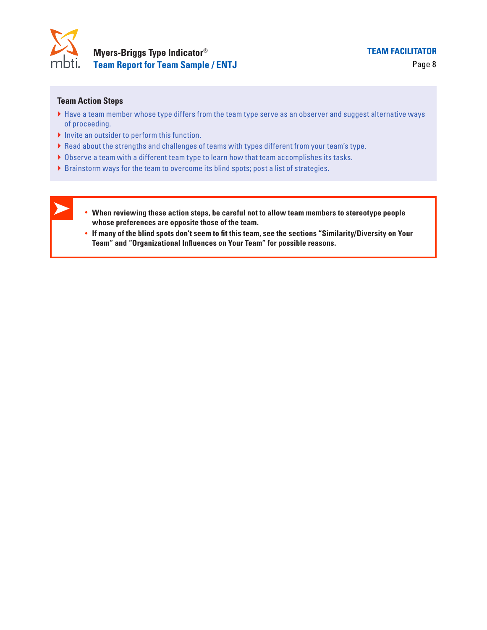

#### **Team Action Steps**

- } Have a team member whose type differs from the team type serve as an observer and suggest alternative ways of proceeding.
- } Invite an outsider to perform this function.
- } Read about the strengths and challenges of teams with types different from your team's type.
- } Observe a team with a different team type to learn how that team accomplishes its tasks.
- } Brainstorm ways for the team to overcome its blind spots; post a list of strategies.
- **• When reviewing these action steps, be careful not to allow team members to stereotype people whose preferences are opposite those of the team.**  outsider to perform this function.<br>
Dut the strengths and challenges of teams with types different from your tea<br>
a team with a different team type to learn how that team accomplishes its t<br>
rm ways for the team to overcom
	- **• If many of the blind spots don't seem to fit this team, see the sections "Similarity/Diversity on Your**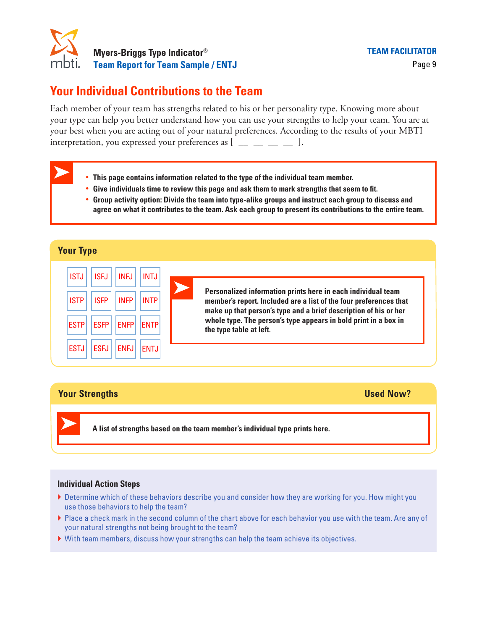

# **Your Individual Contributions to the Team**

Each member of your team has strengths related to his or her personality type. Knowing more about your type can help you better understand how you can use your strengths to help your team. You are at your best when you are acting out of your natural preferences. According to the results of your MBTI interpretation, you expressed your preferences as  $[$   $\Box$   $\Box$   $\Box$   $\Box$   $\Box$   $]$ .

- **• This page contains information related to the type of the individual team member.**
- **• Give individuals time to review this page and ask them to mark strengths that seem to fit.**
- **• Group activity option: Divide the team into type-alike groups and instruct each group to discuss and agree on what it contributes to the team. Ask each group to present its contributions to the entire team.**

| <b>Your Type</b>                                                                                                                                                                                                                             |                                                                                                                                                                                                                                                                                                     |
|----------------------------------------------------------------------------------------------------------------------------------------------------------------------------------------------------------------------------------------------|-----------------------------------------------------------------------------------------------------------------------------------------------------------------------------------------------------------------------------------------------------------------------------------------------------|
| <b>ISTJ</b><br><b>INFJ</b><br><b>INTJ</b><br><b>ISFJ</b><br><b>ISTP</b><br><b>ISFP</b><br><b>INFP</b><br><b>INTP</b><br><b>ESTP</b><br><b>ESFP</b><br><b>ENFP</b><br><b>ENTP</b><br><b>ESTJ</b><br><b>ESFJ</b><br><b>ENFJ</b><br><b>ENTJ</b> | Personalized information prints here in each individual team<br>member's report. Included are a list of the four preferences that<br>make up that person's type and a brief description of his or her<br>whole type. The person's type appears in bold print in a box in<br>the type table at left. |

### **Your Strengths Used Now?**

**A list of strengths based on the team member's individual type prints here.**

- ▶ Determine which of these behaviors describe you and consider how they are working for you. How might you use those behaviors to help the team?
- } Place a check mark in the second column of the chart above for each behavior you use with the team. Are any of your natural strengths not being brought to the team?
- } With team members, discuss how your strengths can help the team achieve its objectives.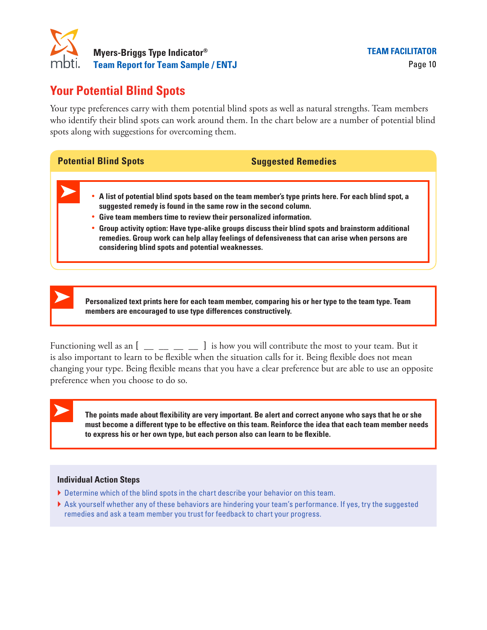

# **Your Potential Blind Spots**

Your type preferences carry with them potential blind spots as well as natural strengths. Team members who identify their blind spots can work around them. In the chart below are a number of potential blind spots along with suggestions for overcoming them. **Positive Channel State Spots**<br>
potential blind spots as well as natural sho identify their blind spots can work around them. In the chart below are a<br>
ots along with suggestions for overcoming them.<br> **Potential Blind Spot** 



Functioning well as an  $[$   $\Box$   $\Box$   $\Box$   $\Box$   $]$  is how you will contribute the most to your team. But it is also important to learn to be flexible when the situation calls for it. Being flexible does not mean changing your type. Being flexible means that you have a clear preference but are able to use an opposite preference when you choose to do so.

**The points made about flexibility are very important. Be alert and correct anyone who says that he or she to express his or her own type, but each person also can learn to be flexible.**

- $\blacktriangleright$  Determine which of the blind spots in the chart describe your behavior on this team.
- } Ask yourself whether any of these behaviors are hindering your team's performance. If yes, try the suggested remedies and ask a team member you trust for feedback to chart your progress.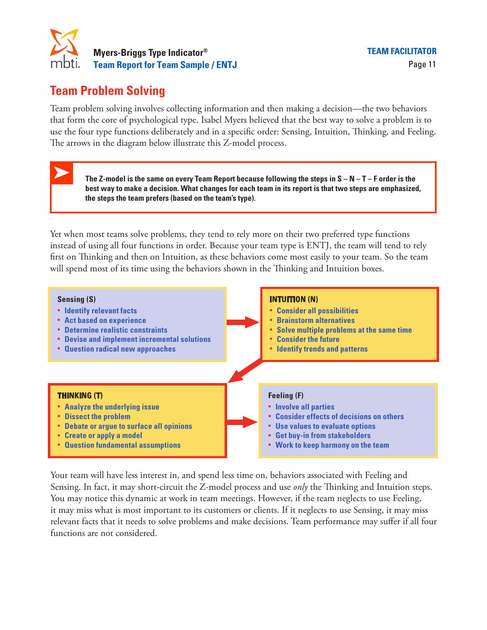

# **Team Problem Solving**

Team problem solving involves collecting information and then making a decision—the two behaviors that form the core of psychological type. Isabel Myers believed that the best way to solve a problem is to use the four type functions deliberately and in a specific order: Sensing, Intuition, Thinking, and Feeling. The arrows in the diagram below illustrate this Z-model process. blem solving involves collecting information and then making a decision—the two behavior the core of psychological type. Isabel Myers believed that the best way to solve a problem in ur type functions deliberately and in a

**best way to make a decision. What changes for each team in its report is that two steps are emphasized, the steps the team prefers (based on the team's type).**

Yet when most teams solve problems, they tend to rely more on their two preferred type functions instead of using all four functions in order. Because your team type is ENTJ, the team will tend to rely first on Thinking and then on Intuition, as these behaviors come most easily to your team. So the team will spend most of its time using the behaviors shown in the Thinking and Intuition boxes.



Your team will have less interest in, and spend less time on, behaviors associated with Feeling and Sensing. In fact, it may short-circuit the Z-model process and use *only* the Thinking and Intuition steps. You may notice this dynamic at work in team meetings. However, if the team neglects to use Feeling, it may miss what is most important to its customers or clients. If it neglects to use Sensing, it may miss relevant facts that it needs to solve problems and make decisions. Team performance may suffer if all four functions are not considered.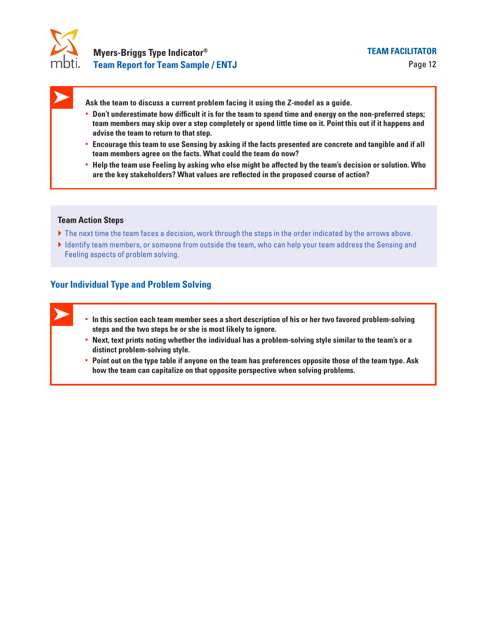

**Ask the team to discuss a current problem facing it using the Z-model as a guide.** 

- **• Don't underestimate how difficult it is for the team to spend time and energy on the non-preferred steps; team members may skip over a step completely or spend little time on it. Point this out if it happens and advise the team to return to that step.**
- **• Encourage this team to use Sensing by asking if the facts presented are concrete and tangible and if all team members agree on the facts. What could the team do now?**
- **• Help the team use Feeling by asking who else might be affected by the team's decision or solution. Who are the key stakeholders? What values are reflected in the proposed course of action?**

#### **Team Action Steps**

- If the next time the team faces a decision, work through the steps in the order indicated by the arrows above.
- } Identify team members, or someone from outside the team, who can help your team address the Sensing and Feeling aspects of problem solving.

### **Your Individual Type and Problem Solving**

- **• In this section each team member sees a short description of his or her two favored problem-solving steps and the two steps he or she is most likely to ignore.**
- **• Next, text prints noting whether the individual has a problem-solving style similar to the team's or a distinct problem-solving style.**
- **• Point out on the type table if anyone on the team has preferences opposite those of the team type. Ask how the team can capitalize on that opposite perspective when solving problems.**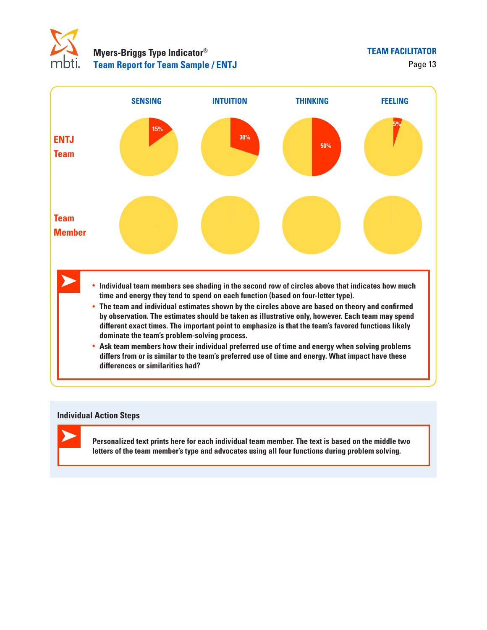



#### **Individual Action Steps**

**Personalized text prints here for each individual team member. The text is based on the middle two letters of the team member's type and advocates using all four functions during problem solving.**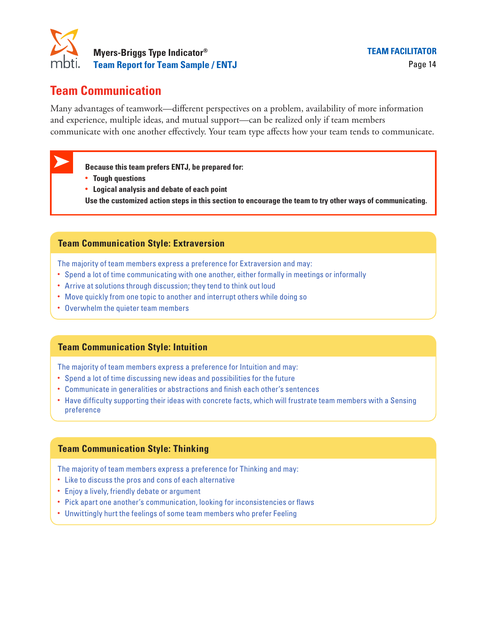

# **Team Communication**

Many advantages of teamwork—different perspectives on a problem, availability of more information and experience, multiple ideas, and mutual support—can be realized only if team members communicate with one another effectively. Your team type affects how your team tends to communicate. Frantages of teamwork—different perspective<br>France, multiple ideas, and mutual support-<br>Cate with one another effectively. Your team<br>**Because this team prefers ENTJ, be prepared for:** 

- 
- **• Tough questions**
- **• Logical analysis and debate of each point**
- **Use the customized action steps in this section to encourage the team to try other ways of communicating.**

### **Team Communication Style: Extraversion**

The majority of team members express a preference for Extraversion and may:

- Spend a lot of time communicating with one another, either formally in meetings or informally
- Arrive at solutions through discussion; they tend to think out loud
- Move quickly from one topic to another and interrupt others while doing so
- Overwhelm the quieter team members

### **Team Communication Style: Intuition**

The majority of team members express a preference for Intuition and may:

- Spend a lot of time discussing new ideas and possibilities for the future
- Communicate in generalities or abstractions and finish each other's sentences
- Have difficulty supporting their ideas with concrete facts, which will frustrate team members with a Sensing preference

### **Team Communication Style: Thinking**

The majority of team members express a preference for Thinking and may:

- Like to discuss the pros and cons of each alternative
- Enjoy a lively, friendly debate or argument
- Pick apart one another's communication, looking for inconsistencies or flaws
- Unwittingly hurt the feelings of some team members who prefer Feeling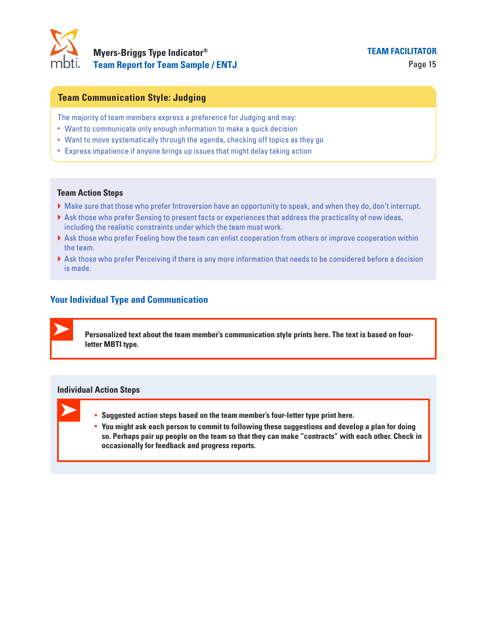

### **Team Communication Style: Judging**

The majority of team members express a preference for Judging and may:

- Want to communicate only enough information to make a quick decision
- Want to move systematically through the agenda, checking off topics as they go
- Express impatience if anyone brings up issues that might delay taking action

#### **Team Action Steps**

- } Make sure that those who prefer Introversion have an opportunity to speak, and when they do, don't interrupt.
- } Ask those who prefer Sensing to present facts or experiences that address the practicality of new ideas, including the realistic constraints under which the team must work.
- } Ask those who prefer Feeling how the team can enlist cooperation from others or improve cooperation within the team.
- } Ask those who prefer Perceiving if there is any more information that needs to be considered before a decision is made.

### **Your Individual Type and Communication**

**Personalized text about the team member's communication style prints here. The text is based on fourletter MBTI type.**

- **• Suggested action steps based on the team member's four-letter type print here.**
- **• You might ask each person to commit to following these suggestions and develop a plan for doing so. Perhaps pair up people on the team so that they can make "contracts" with each other. Check in occasionally for feedback and progress reports.**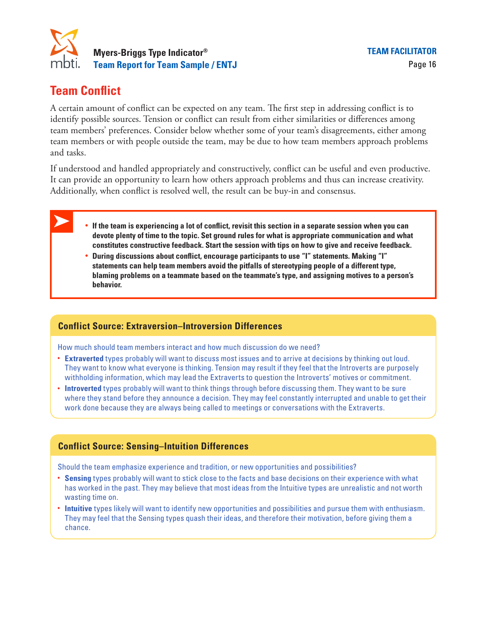

# **Team Conflict**

A certain amount of conflict can be expected on any team. The first step in addressing conflict is to identify possible sources. Tension or conflict can result from either similarities or differences among team members' preferences. Consider below whether some of your team's disagreements, either among team members or with people outside the team, may be due to how team members approach problems and tasks.

If understood and handled appropriately and constructively, conflict can be useful and even productive. It can provide an opportunity to learn how others approach problems and thus can increase creativity. Additionally, when conflict is resolved well, the result can be buy-in and consensus.

### **• If the team is experiencing a lot of conflict, revisit this section in a separate session when you can devote plenty of time to the topic. Set ground rules for what is appropriate communication and what constitutes constructive feedback. Start the session with tips on how to give and receive feedback.**

**• During discussions about conflict, encourage participants to use "I" statements. Making "I" statements can help team members avoid the pitfalls of stereotyping people of a different type, blaming problems on a teammate based on the teammate's type, and assigning motives to a person's behavior.** 

### **Conflict Source: Extraversion–Introversion Differences**

How much should team members interact and how much discussion do we need?

- **Extraverted** types probably will want to discuss most issues and to arrive at decisions by thinking out loud. They want to know what everyone is thinking. Tension may result if they feel that the Introverts are purposely withholding information, which may lead the Extraverts to question the Introverts' motives or commitment.
- **Introverted** types probably will want to think things through before discussing them. They want to be sure where they stand before they announce a decision. They may feel constantly interrupted and unable to get their work done because they are always being called to meetings or conversations with the Extraverts.

### **Conflict Source: Sensing–Intuition Differences**

Should the team emphasize experience and tradition, or new opportunities and possibilities?

- **Sensing** types probably will want to stick close to the facts and base decisions on their experience with what has worked in the past. They may believe that most ideas from the Intuitive types are unrealistic and not worth wasting time on.
- **Intuitive** types likely will want to identify new opportunities and possibilities and pursue them with enthusiasm. They may feel that the Sensing types quash their ideas, and therefore their motivation, before giving them a chance.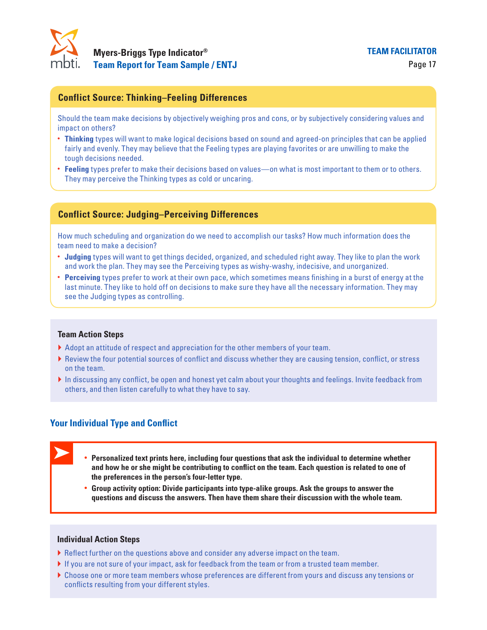

### **Conflict Source: Thinking–Feeling Differences**

Should the team make decisions by objectively weighing pros and cons, or by subjectively considering values and impact on others?

- **Thinking** types will want to make logical decisions based on sound and agreed-on principles that can be applied fairly and evenly. They may believe that the Feeling types are playing favorites or are unwilling to make the tough decisions needed.
- **Feeling** types prefer to make their decisions based on values—on what is most important to them or to others. They may perceive the Thinking types as cold or uncaring.

### **Conflict Source: Judging–Perceiving Differences**

How much scheduling and organization do we need to accomplish our tasks? How much information does the team need to make a decision?

- **Judging** types will want to get things decided, organized, and scheduled right away. They like to plan the work and work the plan. They may see the Perceiving types as wishy-washy, indecisive, and unorganized.
- **Perceiving** types prefer to work at their own pace, which sometimes means finishing in a burst of energy at the last minute. They like to hold off on decisions to make sure they have all the necessary information. They may see the Judging types as controlling. **by example will want to make logical decisions based on sound and agreed-on principles that can be a<br>devenly. They may believe that the Feeling types are playing favorites or are unwilling to make the<br>cisions mediad.<br>
<b>So**

#### **Team Action Steps**

- } Adopt an attitude of respect and appreciation for the other members of your team.
- } Review the four potential sources of conflict and discuss whether they are causing tension, conflict, or stress on the team.
- In discussing any conflict, be open and honest yet calm about your thoughts and feelings. Invite feedback from others, and then listen carefully to what they have to say.

### **Your Individual Type and Conflict**

- **• Personalized text prints here, including four questions that ask the individual to determine whether the preferences in the person's four-letter type.** 
	- **• Group activity option: Divide participants into type-alike groups. Ask the groups to answer the questions and discuss the answers. Then have them share their discussion with the whole team.**

- } Reflect further on the questions above and consider any adverse impact on the team.
- } If you are not sure of your impact, ask for feedback from the team or from a trusted team member.
- } Choose one or more team members whose preferences are different from yours and discuss any tensions or conflicts resulting from your different styles.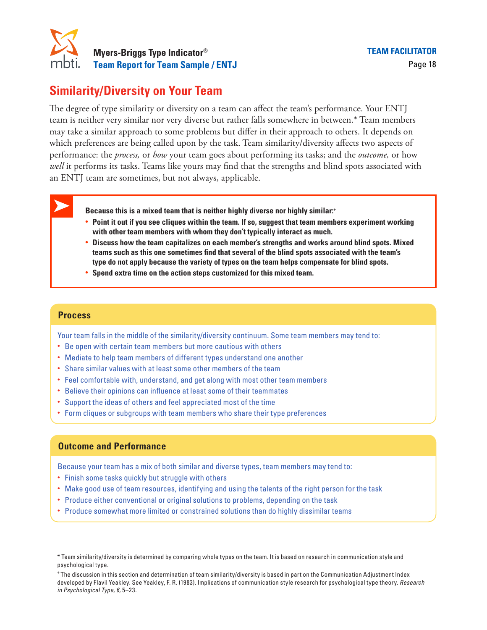

# **Similarity/Diversity on Your Team**

The degree of type similarity or diversity on a team can affect the team's performance. Your ENTJ team is neither very similar nor very diverse but rather falls somewhere in between.\* Team members may take a similar approach to some problems but differ in their approach to others. It depends on which preferences are being called upon by the task. Team similarity/diversity affects two aspects of performance: the *process,* or *how* your team goes about performing its tasks; and the *outcome,* or how well it performs its tasks. Teams like yours may find that the strengths and blind spots associated with an ENTJ team are sometimes, but not always, applicable.

**Because this is a mixed team that is neither highly diverse nor highly similar:+**

- **• Point it out if you see cliques within the team. If so, suggest that team members experiment working with other team members with whom they don't typically interact as much.**
- **• Discuss how the team capitalizes on each member's strengths and works around blind spots. Mixed teams such as this one sometimes find that several of the blind spots associated with the team's type do not apply because the variety of types on the team helps compensate for blind spots.**
- **• Spend extra time on the action steps customized for this mixed team.**

### **Process**

Your team falls in the middle of the similarity/diversity continuum. Some team members may tend to:

- Be open with certain team members but more cautious with others
- Mediate to help team members of different types understand one another
- Share similar values with at least some other members of the team
- Feel comfortable with, understand, and get along with most other team members
- Believe their opinions can influence at least some of their teammates
- Support the ideas of others and feel appreciated most of the time
- Form cliques or subgroups with team members who share their type preferences

### **Outcome and Performance**

Because your team has a mix of both similar and diverse types, team members may tend to:

- Finish some tasks quickly but struggle with others
- Make good use of team resources, identifying and using the talents of the right person for the task
- Produce either conventional or original solutions to problems, depending on the task
- Produce somewhat more limited or constrained solutions than do highly dissimilar teams

<sup>\*</sup> Team similarity/diversity is determined by comparing whole types on the team. It is based on research in communication style and psychological type.

<sup>+</sup> The discussion in this section and determination of team similarity/diversity is based in part on the Communication Adjustment Index developed by Flavil Yeakley. See Yeakley, F. R. (1983). Implications of communication style research for psychological type theory. *Research in Psychological Type, 6,* 5–23.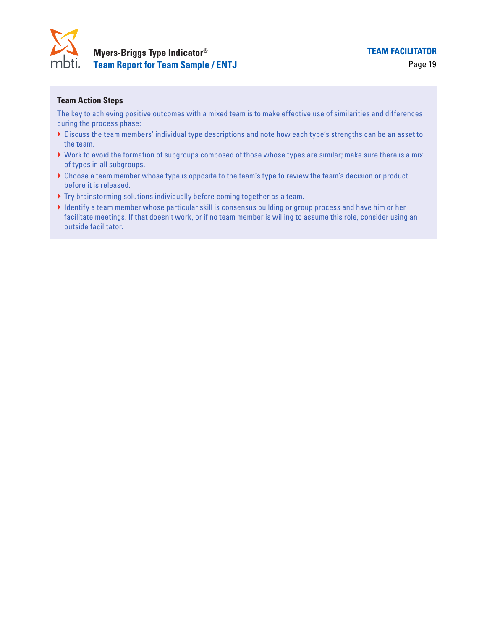

### **Team Action Steps**

The key to achieving positive outcomes with a mixed team is to make effective use of similarities and differences during the process phase:

- } Discuss the team members' individual type descriptions and note how each type's strengths can be an asset to the team.
- } Work to avoid the formation of subgroups composed of those whose types are similar; make sure there is a mix of types in all subgroups.
- } Choose a team member whose type is opposite to the team's type to review the team's decision or product before it is released.
- } Try brainstorming solutions individually before coming together as a team.
- } Identify a team member whose particular skill is consensus building or group process and have him or her facilitate meetings. If that doesn't work, or if no team member is willing to assume this role, consider using an outside facilitator.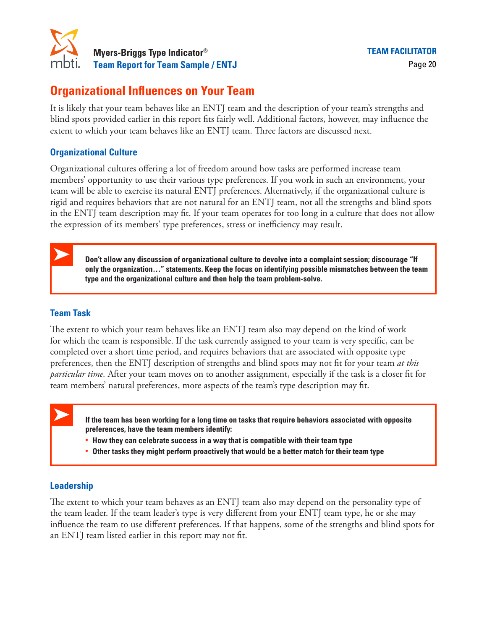

# **Organizational Influences on Your Team**

It is likely that your team behaves like an ENTJ team and the description of your team's strengths and blind spots provided earlier in this report fits fairly well. Additional factors, however, may influence the extent to which your team behaves like an ENTJ team. Three factors are discussed next.

### **Organizational Culture**

Organizational cultures offering a lot of freedom around how tasks are performed increase team members' opportunity to use their various type preferences. If you work in such an environment, your team will be able to exercise its natural ENTJ preferences. Alternatively, if the organizational culture is rigid and requires behaviors that are not natural for an ENTJ team, not all the strengths and blind spots in the ENTJ team description may fit. If your team operates for too long in a culture that does not allow the expression of its members' type preferences, stress or inefficiency may result.

**Don't allow any discussion of organizational culture to devolve into a complaint session; discourage "If only the organization…" statements. Keep the focus on identifying possible mismatches between the team type and the organizational culture and then help the team problem-solve.**

### **Team Task**

The extent to which your team behaves like an ENTJ team also may depend on the kind of work for which the team is responsible. If the task currently assigned to your team is very specific, can be completed over a short time period, and requires behaviors that are associated with opposite type preferences, then the ENTJ description of strengths and blind spots may not fit for your team *at this particular time.* After your team moves on to another assignment, especially if the task is a closer fit for team members' natural preferences, more aspects of the team's type description may fit. Which your team behaves like an ENTT geann. Three tactors are ustcussed next.<br> **Coording Culture**<br> **Coording a** lot of freedom around how tasks are performed increase<br>
opporating to use their various type preferences. If y

**If the team has been working for a long time on tasks that require behaviors associated with opposite preferences, have the team members identify:**

**• How they can celebrate success in a way that is compatible with their team type**

### **Leadership**

The extent to which your team behaves as an ENTJ team also may depend on the personality type of the team leader. If the team leader's type is very different from your ENTJ team type, he or she may influence the team to use different preferences. If that happens, some of the strengths and blind spots for an ENTJ team listed earlier in this report may not fit.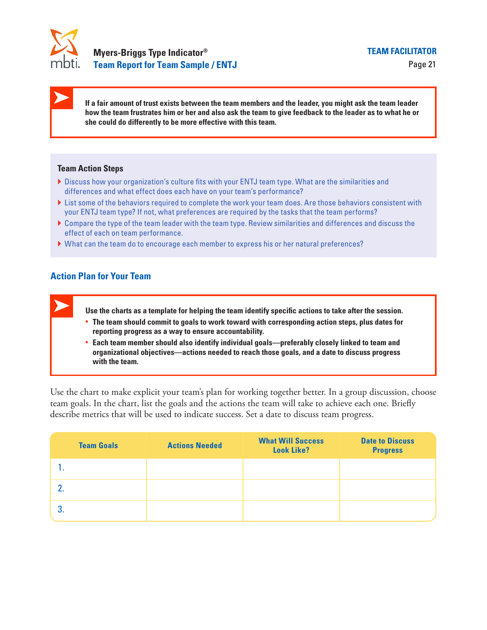

**If a fair amount of trust exists between the team members and the leader, you might ask the team leader how the team frustrates him or her and also ask the team to give feedback to the leader as to what he or she could do differently to be more effective with this team.**

#### **Team Action Steps**

- } Discuss how your organization's culture fits with your ENTJ team type. What are the similarities and differences and what effect does each have on your team's performance?
- Itst some of the behaviors required to complete the work your team does. Are those behaviors consistent with your ENTJ team type? If not, what preferences are required by the tasks that the team performs? **•• Each team show your organization's culture fits with your ENTJ team type. What are the similarities and<br>mences and what effect does each have on your team's performance?<br>The of the behaviors required to complete the**
- } Compare the type of the team leader with the team type. Review similarities and differences and discuss the effect of each on team performance.
- } What can the team do to encourage each member to express his or her natural preferences?

### **Action Plan for Your Team**

**Use the charts as a template for helping the team identify specific actions to take after the session.**

- **• The team should commit to goals to work toward with corresponding action steps, plus dates for reporting progress as a way to ensure accountability.**
- **organizational objectives—actions needed to reach those goals, and a date to discuss progress with the team.**

Use the chart to make explicit your team's plan for working together better. In a group discussion, choose team goals. In the chart, list the goals and the actions the team will take to achieve each one. Briefly describe metrics that will be used to indicate success. Set a date to discuss team progress.

| <b>Team Goals</b> | <b>Actions Needed</b> | <b>What Will Success</b><br><b>Look Like?</b> | <b>Date to Discuss</b><br><b>Progress</b> |
|-------------------|-----------------------|-----------------------------------------------|-------------------------------------------|
|                   |                       |                                               |                                           |
|                   |                       |                                               |                                           |
|                   |                       |                                               |                                           |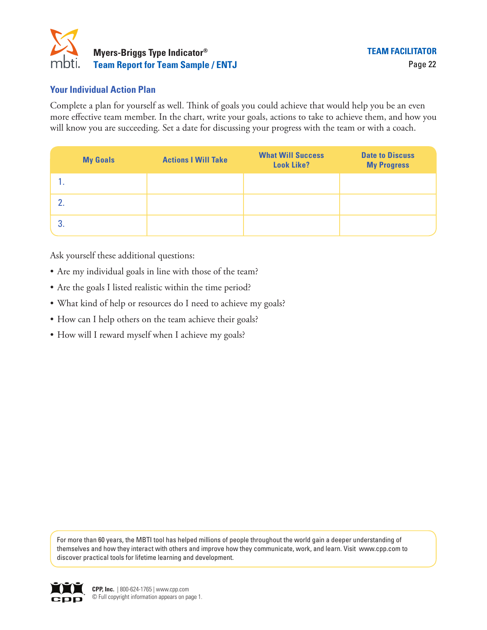

### **Your Individual Action Plan**

Complete a plan for yourself as well. Think of goals you could achieve that would help you be an even more effective team member. In the chart, write your goals, actions to take to achieve them, and how you will know you are succeeding. Set a date for discussing your progress with the team or with a coach.

|    | <b>My Goals</b> | <b>Actions I Will Take</b> | <b>What Will Success</b><br><b>Look Like?</b> | <b>Date to Discuss</b><br><b>My Progress</b> |
|----|-----------------|----------------------------|-----------------------------------------------|----------------------------------------------|
|    |                 |                            |                                               |                                              |
|    |                 |                            |                                               |                                              |
| 3. |                 |                            |                                               |                                              |

Ask yourself these additional questions:

- Are my individual goals in line with those of the team?
- Are the goals I listed realistic within the time period?
- What kind of help or resources do I need to achieve my goals?
- How can I help others on the team achieve their goals?
- How will I reward myself when I achieve my goals?

For more than 60 years, the MBTI tool has helped millions of people throughout the world gain a deeper understanding of themselves and how they interact with others and improve how they communicate, work, and learn. Visit www.cpp.com to discover practical tools for lifetime learning and development.